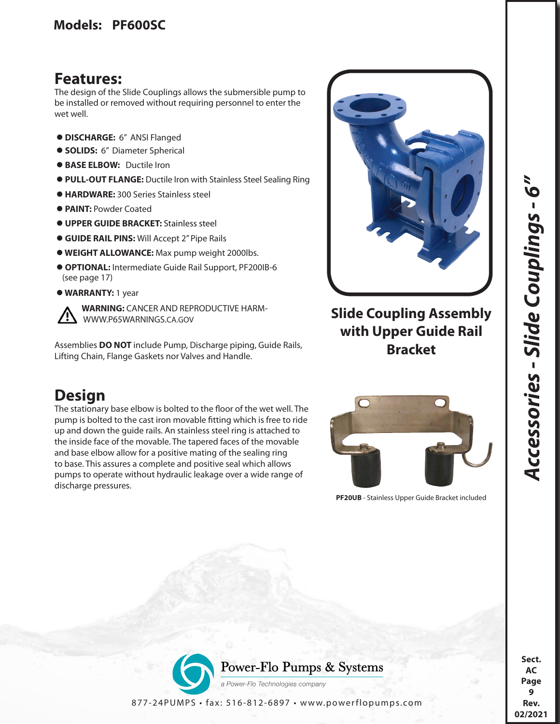## **Features:**

The design of the Slide Couplings allows the submersible pump to be installed or removed without requiring personnel to enter the wet well.

- **DISCHARGE:** 6" ANSI Flanged
- **SOLIDS:** 6" Diameter Spherical
- **BASE ELBOW:** Ductile Iron
- **PULL-OUT FLANGE:** Ductile Iron with Stainless Steel Sealing Ring
- **HARDWARE:** 300 Series Stainless steel
- **PAINT:** Powder Coated
- **UPPER GUIDE BRACKET:** Stainless steel
- **GUIDE RAIL PINS:** Will Accept 2" Pipe Rails
- **WEIGHT ALLOWANCE:** Max pump weight 2000lbs.
- **OPTIONAL:** Intermediate Guide Rail Support, PF200IB-6 (see page 17)
- **WARRANTY:** 1 year

 **WARNING:** CANCER AND REPRODUCTIVE HARM- WWW.P65WARNINGS.CA.GOV

Assemblies **DO NOT** include Pump, Discharge piping, Guide Rails, Lifting Chain, Flange Gaskets nor Valves and Handle.

## **Design**

The stationary base elbow is bolted to the floor of the wet well. The pump is bolted to the cast iron movable fitting which is free to ride up and down the guide rails. An stainless steel ring is attached to the inside face of the movable. The tapered faces of the movable and base elbow allow for a positive mating of the sealing ring to base. This assures a complete and positive seal which allows pumps to operate without hydraulic leakage over a wide range of discharge pressures.



## **Slide Coupling Assembly with Upper Guide Rail Bracket**



**PF20UB** - Stainless Upper Guide Bracket included

**Sect. AC Page 9 Rev.** 

02/2021

**02/2021***Accessories - Slide Couplings - 6"* 

Accessories - Slide Couplings - 6"



877-24PUMPS • fax: 516-812-6897 • www.powerflopumps.com